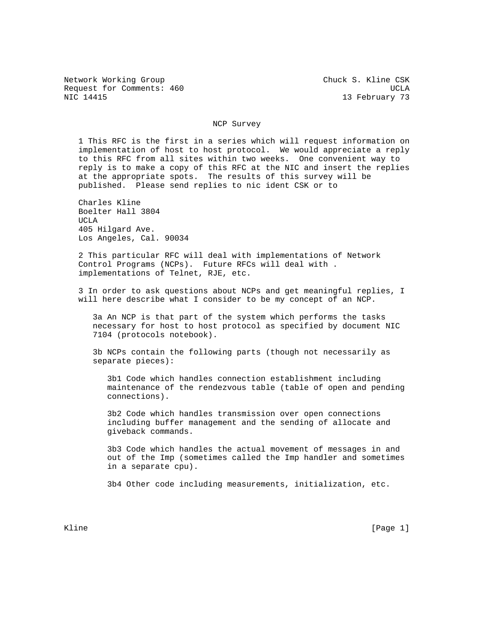Network Working Group Chuck S. Kline CSK Request for Comments: 460 UCLA NIC 14415 13 February 73

## NCP Survey

 1 This RFC is the first in a series which will request information on implementation of host to host protocol. We would appreciate a reply to this RFC from all sites within two weeks. One convenient way to reply is to make a copy of this RFC at the NIC and insert the replies at the appropriate spots. The results of this survey will be published. Please send replies to nic ident CSK or to

 Charles Kline Boelter Hall 3804 UCLA 405 Hilgard Ave. Los Angeles, Cal. 90034

 2 This particular RFC will deal with implementations of Network Control Programs (NCPs). Future RFCs will deal with . implementations of Telnet, RJE, etc.

 3 In order to ask questions about NCPs and get meaningful replies, I will here describe what I consider to be my concept of an NCP.

 3a An NCP is that part of the system which performs the tasks necessary for host to host protocol as specified by document NIC 7104 (protocols notebook).

 3b NCPs contain the following parts (though not necessarily as separate pieces):

 3b1 Code which handles connection establishment including maintenance of the rendezvous table (table of open and pending connections).

 3b2 Code which handles transmission over open connections including buffer management and the sending of allocate and giveback commands.

 3b3 Code which handles the actual movement of messages in and out of the Imp (sometimes called the Imp handler and sometimes in a separate cpu).

3b4 Other code including measurements, initialization, etc.

Kline [Page 1] [Page 1] [Page 1] [Page 1] [Page 1] [Page 1] [Page 1] [Page 1] [Page 1]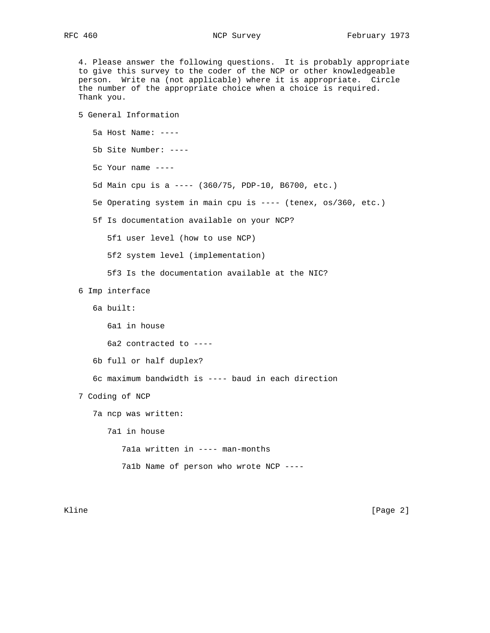4. Please answer the following questions. It is probably appropriate to give this survey to the coder of the NCP or other knowledgeable person. Write na (not applicable) where it is appropriate. Circle the number of the appropriate choice when a choice is required. Thank you.

 5 General Information 5a Host Name: ---- 5b Site Number: ---- 5c Your name ---- 5d Main cpu is a ---- (360/75, PDP-10, B6700, etc.) 5e Operating system in main cpu is ---- (tenex, os/360, etc.) 5f Is documentation available on your NCP? 5f1 user level (how to use NCP) 5f2 system level (implementation) 5f3 Is the documentation available at the NIC? 6 Imp interface 6a built: 6a1 in house 6a2 contracted to ---- 6b full or half duplex? 6c maximum bandwidth is ---- baud in each direction 7 Coding of NCP 7a ncp was written: 7a1 in house 7a1a written in ---- man-months 7a1b Name of person who wrote NCP ----

Kline [Page 2]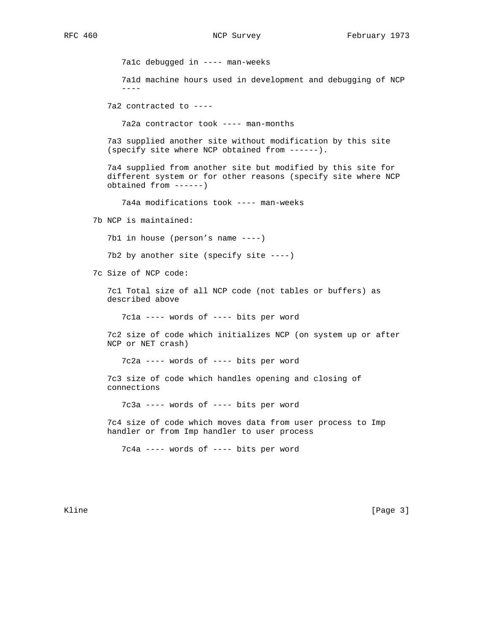7a1c debugged in ---- man-weeks

 7a1d machine hours used in development and debugging of NCP ----

7a2 contracted to ----

7a2a contractor took ---- man-months

 7a3 supplied another site without modification by this site (specify site where NCP obtained from ------).

 7a4 supplied from another site but modified by this site for different system or for other reasons (specify site where NCP obtained from ------)

7a4a modifications took ---- man-weeks

7b NCP is maintained:

7b1 in house (person's name ----)

7b2 by another site (specify site ----)

7c Size of NCP code:

 7c1 Total size of all NCP code (not tables or buffers) as described above

7c1a ---- words of ---- bits per word

 7c2 size of code which initializes NCP (on system up or after NCP or NET crash)

7c2a ---- words of ---- bits per word

 7c3 size of code which handles opening and closing of connections

7c3a ---- words of ---- bits per word

 7c4 size of code which moves data from user process to Imp handler or from Imp handler to user process

7c4a ---- words of ---- bits per word

Kline [Page 3]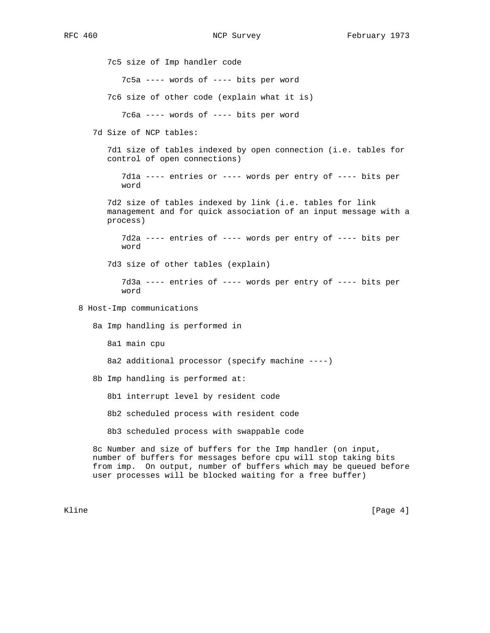7c5 size of Imp handler code 7c5a ---- words of ---- bits per word 7c6 size of other code (explain what it is) 7c6a ---- words of ---- bits per word 7d Size of NCP tables: 7d1 size of tables indexed by open connection (i.e. tables for control of open connections) 7d1a ---- entries or ---- words per entry of ---- bits per word 7d2 size of tables indexed by link (i.e. tables for link management and for quick association of an input message with a process) 7d2a ---- entries of ---- words per entry of ---- bits per word 7d3 size of other tables (explain) 7d3a ---- entries of ---- words per entry of ---- bits per word 8 Host-Imp communications 8a Imp handling is performed in 8a1 main cpu 8a2 additional processor (specify machine ----) 8b Imp handling is performed at: 8b1 interrupt level by resident code 8b2 scheduled process with resident code 8b3 scheduled process with swappable code 8c Number and size of buffers for the Imp handler (on input, number of buffers for messages before cpu will stop taking bits from imp. On output, number of buffers which may be queued before user processes will be blocked waiting for a free buffer)

Kline [Page 4]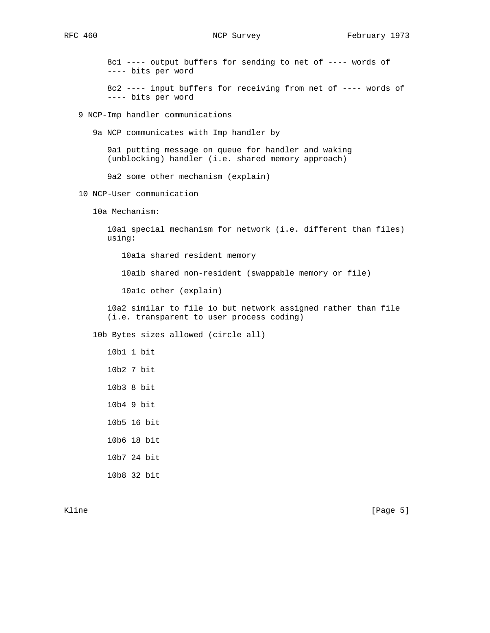8c1 ---- output buffers for sending to net of ---- words of ---- bits per word

 8c2 ---- input buffers for receiving from net of ---- words of ---- bits per word

9 NCP-Imp handler communications

9a NCP communicates with Imp handler by

 9a1 putting message on queue for handler and waking (unblocking) handler (i.e. shared memory approach)

9a2 some other mechanism (explain)

10 NCP-User communication

10a Mechanism:

 10a1 special mechanism for network (i.e. different than files) using:

10a1a shared resident memory

10a1b shared non-resident (swappable memory or file)

10a1c other (explain)

 10a2 similar to file io but network assigned rather than file (i.e. transparent to user process coding)

10b Bytes sizes allowed (circle all)

 10b1 1 bit 10b2 7 bit 10b3 8 bit 10b4 9 bit 10b5 16 bit 10b6 18 bit 10b7 24 bit

10b8 32 bit

Kline [Page 5]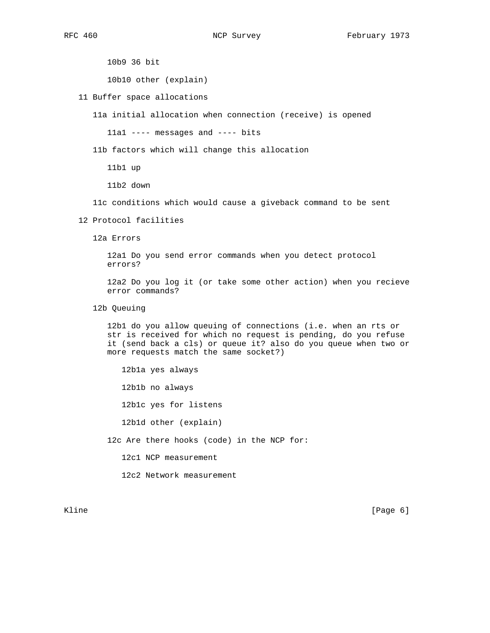10b9 36 bit

10b10 other (explain)

11 Buffer space allocations

11a initial allocation when connection (receive) is opened

11a1 ---- messages and ---- bits

11b factors which will change this allocation

11b1 up

11b2 down

11c conditions which would cause a giveback command to be sent

12 Protocol facilities

12a Errors

 12a1 Do you send error commands when you detect protocol errors?

 12a2 Do you log it (or take some other action) when you recieve error commands?

12b Queuing

 12b1 do you allow queuing of connections (i.e. when an rts or str is received for which no request is pending, do you refuse it (send back a cls) or queue it? also do you queue when two or more requests match the same socket?)

 12b1a yes always 12b1b no always 12b1c yes for listens 12b1d other (explain) 12c Are there hooks (code) in the NCP for:

12c1 NCP measurement

12c2 Network measurement

Kline [Page 6]